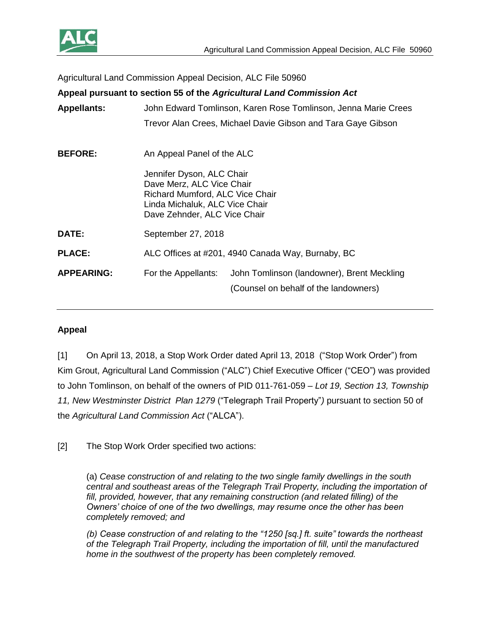

Agricultural Land Commission Appeal Decision, ALC File 50960

| Appeal pursuant to section 55 of the Agricultural Land Commission Act |                                                                                                                                                             |
|-----------------------------------------------------------------------|-------------------------------------------------------------------------------------------------------------------------------------------------------------|
| <b>Appellants:</b>                                                    | John Edward Tomlinson, Karen Rose Tomlinson, Jenna Marie Crees                                                                                              |
|                                                                       | Trevor Alan Crees, Michael Davie Gibson and Tara Gaye Gibson                                                                                                |
| <b>BEFORE:</b>                                                        | An Appeal Panel of the ALC                                                                                                                                  |
|                                                                       | Jennifer Dyson, ALC Chair<br>Dave Merz, ALC Vice Chair<br>Richard Mumford, ALC Vice Chair<br>Linda Michaluk, ALC Vice Chair<br>Dave Zehnder, ALC Vice Chair |
| DATE:                                                                 | September 27, 2018                                                                                                                                          |
| <b>PLACE:</b>                                                         | ALC Offices at #201, 4940 Canada Way, Burnaby, BC                                                                                                           |
| <b>APPEARING:</b>                                                     | John Tomlinson (landowner), Brent Meckling<br>For the Appellants:<br>(Counsel on behalf of the landowners)                                                  |

### **Appeal**

[1] On April 13, 2018, a Stop Work Order dated April 13, 2018 ("Stop Work Order") from Kim Grout, Agricultural Land Commission ("ALC") Chief Executive Officer ("CEO") was provided to John Tomlinson, on behalf of the owners of PID 011-761-059 – *Lot 19, Section 13, Township 11, New Westminster District Plan 1279* ("Telegraph Trail Property"*)* pursuant to section 50 of the *Agricultural Land Commission Act* ("ALCA").

[2] The Stop Work Order specified two actions:

(a) *Cease construction of and relating to the two single family dwellings in the south central and southeast areas of the Telegraph Trail Property, including the importation of fill, provided, however, that any remaining construction (and related filling) of the Owners' choice of one of the two dwellings, may resume once the other has been completely removed; and* 

*(b) Cease construction of and relating to the "1250 [sq.] ft. suite" towards the northeast of the Telegraph Trail Property, including the importation of fill, until the manufactured home in the southwest of the property has been completely removed.*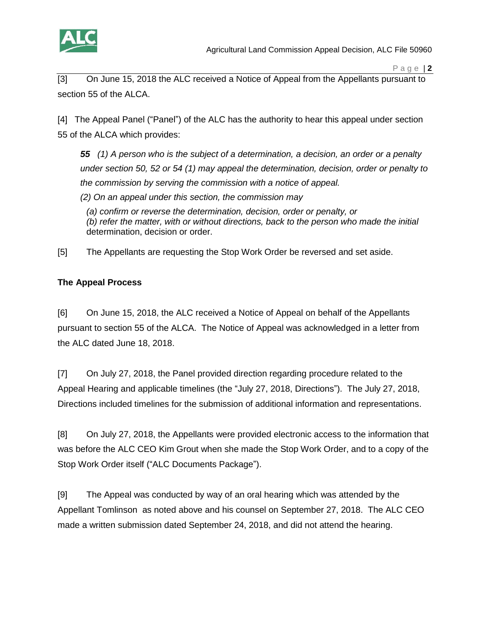

[3] On June 15, 2018 the ALC received a Notice of Appeal from the Appellants pursuant to section 55 of the ALCA.

[4] The Appeal Panel ("Panel") of the ALC has the authority to hear this appeal under section 55 of the ALCA which provides:

*55 (1) A person who is the subject of a determination, a decision, an order or a penalty under section 50, 52 or 54 (1) may appeal the determination, decision, order or penalty to the commission by serving the commission with a notice of appeal. (2) On an appeal under this section, the commission may*

*(a) confirm or reverse the determination, decision, order or penalty, or (b) refer the matter, with or without directions, back to the person who made the initial*  determination, decision or order.

[5] The Appellants are requesting the Stop Work Order be reversed and set aside.

## **The Appeal Process**

[6] On June 15, 2018, the ALC received a Notice of Appeal on behalf of the Appellants pursuant to section 55 of the ALCA. The Notice of Appeal was acknowledged in a letter from the ALC dated June 18, 2018.

[7] On July 27, 2018, the Panel provided direction regarding procedure related to the Appeal Hearing and applicable timelines (the "July 27, 2018, Directions"). The July 27, 2018, Directions included timelines for the submission of additional information and representations.

[8] On July 27, 2018, the Appellants were provided electronic access to the information that was before the ALC CEO Kim Grout when she made the Stop Work Order, and to a copy of the Stop Work Order itself ("ALC Documents Package").

[9] The Appeal was conducted by way of an oral hearing which was attended by the Appellant Tomlinson as noted above and his counsel on September 27, 2018. The ALC CEO made a written submission dated September 24, 2018, and did not attend the hearing.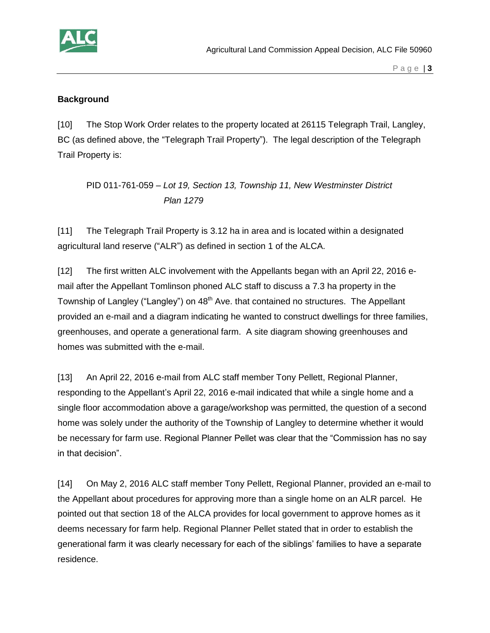

#### **Background**

[10] The Stop Work Order relates to the property located at 26115 Telegraph Trail, Langley, BC (as defined above, the "Telegraph Trail Property"). The legal description of the Telegraph Trail Property is:

PID 011-761-059 – *Lot 19, Section 13, Township 11, New Westminster District Plan 1279*

[11] The Telegraph Trail Property is 3.12 ha in area and is located within a designated agricultural land reserve ("ALR") as defined in section 1 of the ALCA.

[12] The first written ALC involvement with the Appellants began with an April 22, 2016 email after the Appellant Tomlinson phoned ALC staff to discuss a 7.3 ha property in the Township of Langley ("Langley") on 48<sup>th</sup> Ave. that contained no structures. The Appellant provided an e-mail and a diagram indicating he wanted to construct dwellings for three families, greenhouses, and operate a generational farm. A site diagram showing greenhouses and homes was submitted with the e-mail.

[13] An April 22, 2016 e-mail from ALC staff member Tony Pellett, Regional Planner, responding to the Appellant's April 22, 2016 e-mail indicated that while a single home and a single floor accommodation above a garage/workshop was permitted, the question of a second home was solely under the authority of the Township of Langley to determine whether it would be necessary for farm use. Regional Planner Pellet was clear that the "Commission has no say in that decision".

[14] On May 2, 2016 ALC staff member Tony Pellett, Regional Planner, provided an e-mail to the Appellant about procedures for approving more than a single home on an ALR parcel. He pointed out that section 18 of the ALCA provides for local government to approve homes as it deems necessary for farm help. Regional Planner Pellet stated that in order to establish the generational farm it was clearly necessary for each of the siblings' families to have a separate residence.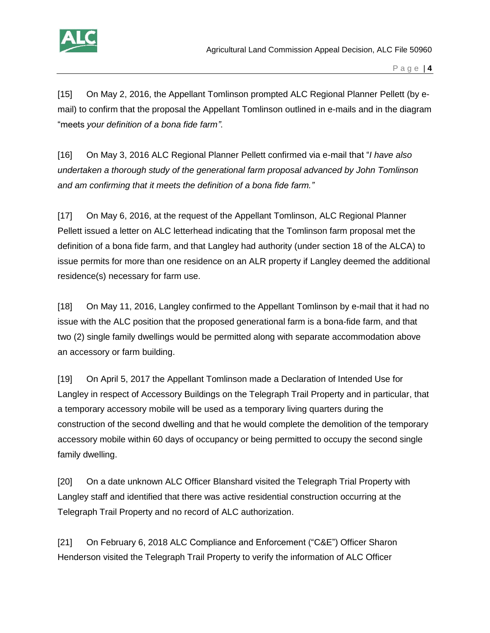

[15] On May 2, 2016, the Appellant Tomlinson prompted ALC Regional Planner Pellett (by email) to confirm that the proposal the Appellant Tomlinson outlined in e-mails and in the diagram "meets *your definition of a bona fide farm"*.

[16] On May 3, 2016 ALC Regional Planner Pellett confirmed via e-mail that "*I have also undertaken a thorough study of the generational farm proposal advanced by John Tomlinson and am confirming that it meets the definition of a bona fide farm."* 

[17] On May 6, 2016, at the request of the Appellant Tomlinson, ALC Regional Planner Pellett issued a letter on ALC letterhead indicating that the Tomlinson farm proposal met the definition of a bona fide farm, and that Langley had authority (under section 18 of the ALCA) to issue permits for more than one residence on an ALR property if Langley deemed the additional residence(s) necessary for farm use.

[18] On May 11, 2016, Langley confirmed to the Appellant Tomlinson by e-mail that it had no issue with the ALC position that the proposed generational farm is a bona-fide farm, and that two (2) single family dwellings would be permitted along with separate accommodation above an accessory or farm building.

[19] On April 5, 2017 the Appellant Tomlinson made a Declaration of Intended Use for Langley in respect of Accessory Buildings on the Telegraph Trail Property and in particular, that a temporary accessory mobile will be used as a temporary living quarters during the construction of the second dwelling and that he would complete the demolition of the temporary accessory mobile within 60 days of occupancy or being permitted to occupy the second single family dwelling.

[20] On a date unknown ALC Officer Blanshard visited the Telegraph Trial Property with Langley staff and identified that there was active residential construction occurring at the Telegraph Trail Property and no record of ALC authorization.

[21] On February 6, 2018 ALC Compliance and Enforcement ("C&E") Officer Sharon Henderson visited the Telegraph Trail Property to verify the information of ALC Officer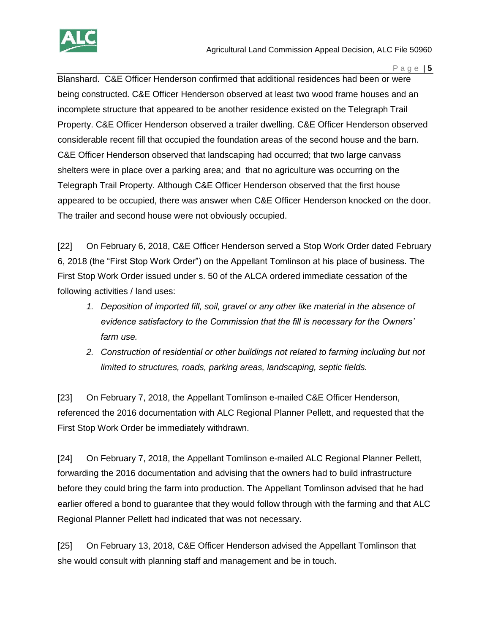

Blanshard. C&E Officer Henderson confirmed that additional residences had been or were being constructed. C&E Officer Henderson observed at least two wood frame houses and an incomplete structure that appeared to be another residence existed on the Telegraph Trail Property. C&E Officer Henderson observed a trailer dwelling. C&E Officer Henderson observed considerable recent fill that occupied the foundation areas of the second house and the barn. C&E Officer Henderson observed that landscaping had occurred; that two large canvass shelters were in place over a parking area; and that no agriculture was occurring on the Telegraph Trail Property. Although C&E Officer Henderson observed that the first house appeared to be occupied, there was answer when C&E Officer Henderson knocked on the door. The trailer and second house were not obviously occupied.

[22] On February 6, 2018, C&E Officer Henderson served a Stop Work Order dated February 6, 2018 (the "First Stop Work Order") on the Appellant Tomlinson at his place of business. The First Stop Work Order issued under s. 50 of the ALCA ordered immediate cessation of the following activities / land uses:

- *1. Deposition of imported fill, soil, gravel or any other like material in the absence of evidence satisfactory to the Commission that the fill is necessary for the Owners' farm use.*
- *2. Construction of residential or other buildings not related to farming including but not limited to structures, roads, parking areas, landscaping, septic fields.*

[23] On February 7, 2018, the Appellant Tomlinson e-mailed C&E Officer Henderson, referenced the 2016 documentation with ALC Regional Planner Pellett, and requested that the First Stop Work Order be immediately withdrawn.

[24] On February 7, 2018, the Appellant Tomlinson e-mailed ALC Regional Planner Pellett, forwarding the 2016 documentation and advising that the owners had to build infrastructure before they could bring the farm into production. The Appellant Tomlinson advised that he had earlier offered a bond to guarantee that they would follow through with the farming and that ALC Regional Planner Pellett had indicated that was not necessary.

[25] On February 13, 2018, C&E Officer Henderson advised the Appellant Tomlinson that she would consult with planning staff and management and be in touch.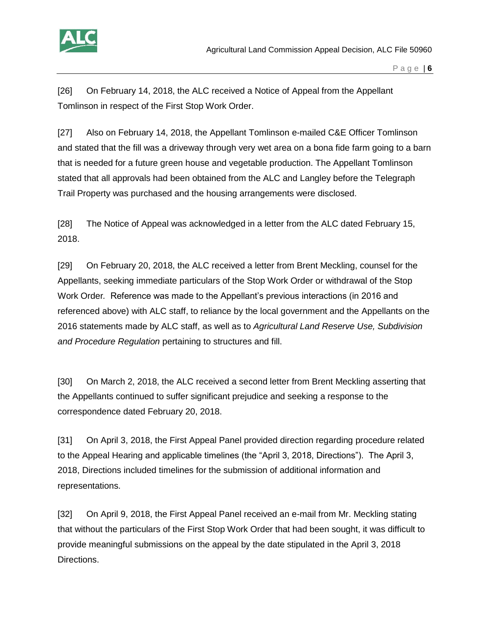

[26] On February 14, 2018, the ALC received a Notice of Appeal from the Appellant Tomlinson in respect of the First Stop Work Order.

[27] Also on February 14, 2018, the Appellant Tomlinson e-mailed C&E Officer Tomlinson and stated that the fill was a driveway through very wet area on a bona fide farm going to a barn that is needed for a future green house and vegetable production. The Appellant Tomlinson stated that all approvals had been obtained from the ALC and Langley before the Telegraph Trail Property was purchased and the housing arrangements were disclosed.

[28] The Notice of Appeal was acknowledged in a letter from the ALC dated February 15, 2018.

[29] On February 20, 2018, the ALC received a letter from Brent Meckling, counsel for the Appellants, seeking immediate particulars of the Stop Work Order or withdrawal of the Stop Work Order*.* Reference was made to the Appellant's previous interactions (in 2016 and referenced above) with ALC staff, to reliance by the local government and the Appellants on the 2016 statements made by ALC staff, as well as to *Agricultural Land Reserve Use, Subdivision and Procedure Regulation* pertaining to structures and fill.

[30] On March 2, 2018, the ALC received a second letter from Brent Meckling asserting that the Appellants continued to suffer significant prejudice and seeking a response to the correspondence dated February 20, 2018.

[31] On April 3, 2018, the First Appeal Panel provided direction regarding procedure related to the Appeal Hearing and applicable timelines (the "April 3, 2018, Directions"). The April 3, 2018, Directions included timelines for the submission of additional information and representations.

[32] On April 9, 2018, the First Appeal Panel received an e-mail from Mr. Meckling stating that without the particulars of the First Stop Work Order that had been sought, it was difficult to provide meaningful submissions on the appeal by the date stipulated in the April 3, 2018 Directions.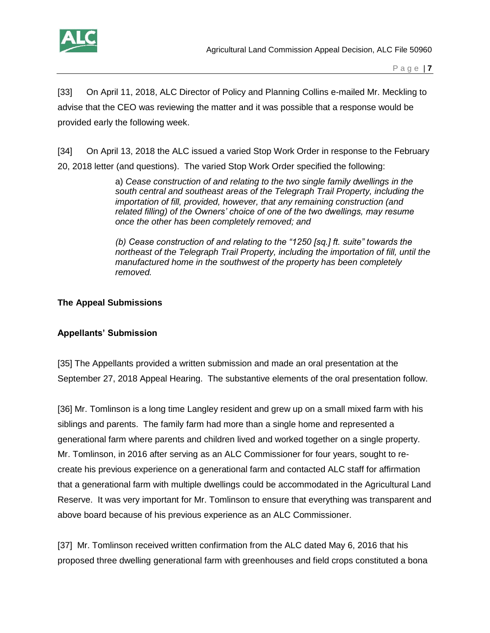

[33] On April 11, 2018, ALC Director of Policy and Planning Collins e-mailed Mr. Meckling to advise that the CEO was reviewing the matter and it was possible that a response would be provided early the following week.

[34] On April 13, 2018 the ALC issued a varied Stop Work Order in response to the February 20, 2018 letter (and questions). The varied Stop Work Order specified the following:

> a) *Cease construction of and relating to the two single family dwellings in the south central and southeast areas of the Telegraph Trail Property, including the importation of fill, provided, however, that any remaining construction (and*  related filling) of the Owners' choice of one of the two dwellings, may resume *once the other has been completely removed; and*

*(b) Cease construction of and relating to the "1250 [sq.] ft. suite" towards the northeast of the Telegraph Trail Property, including the importation of fill, until the manufactured home in the southwest of the property has been completely removed.* 

## **The Appeal Submissions**

### **Appellants' Submission**

[35] The Appellants provided a written submission and made an oral presentation at the September 27, 2018 Appeal Hearing. The substantive elements of the oral presentation follow.

[36] Mr. Tomlinson is a long time Langley resident and grew up on a small mixed farm with his siblings and parents. The family farm had more than a single home and represented a generational farm where parents and children lived and worked together on a single property. Mr. Tomlinson, in 2016 after serving as an ALC Commissioner for four years, sought to recreate his previous experience on a generational farm and contacted ALC staff for affirmation that a generational farm with multiple dwellings could be accommodated in the Agricultural Land Reserve. It was very important for Mr. Tomlinson to ensure that everything was transparent and above board because of his previous experience as an ALC Commissioner.

[37] Mr. Tomlinson received written confirmation from the ALC dated May 6, 2016 that his proposed three dwelling generational farm with greenhouses and field crops constituted a bona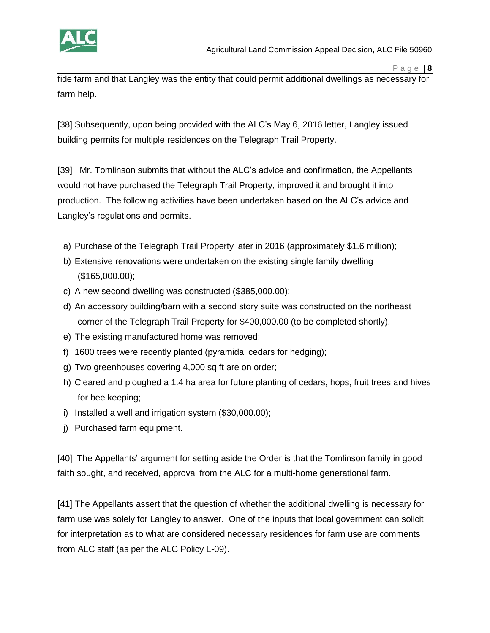

fide farm and that Langley was the entity that could permit additional dwellings as necessary for farm help.

[38] Subsequently, upon being provided with the ALC's May 6, 2016 letter, Langley issued building permits for multiple residences on the Telegraph Trail Property.

[39] Mr. Tomlinson submits that without the ALC's advice and confirmation, the Appellants would not have purchased the Telegraph Trail Property, improved it and brought it into production. The following activities have been undertaken based on the ALC's advice and Langley's regulations and permits.

- a) Purchase of the Telegraph Trail Property later in 2016 (approximately \$1.6 million);
- b) Extensive renovations were undertaken on the existing single family dwelling (\$165,000.00);
- c) A new second dwelling was constructed (\$385,000.00);
- d) An accessory building/barn with a second story suite was constructed on the northeast corner of the Telegraph Trail Property for \$400,000.00 (to be completed shortly).
- e) The existing manufactured home was removed;
- f) 1600 trees were recently planted (pyramidal cedars for hedging);
- g) Two greenhouses covering 4,000 sq ft are on order;
- h) Cleared and ploughed a 1.4 ha area for future planting of cedars, hops, fruit trees and hives for bee keeping;
- i) Installed a well and irrigation system (\$30,000.00);
- j) Purchased farm equipment.

[40] The Appellants' argument for setting aside the Order is that the Tomlinson family in good faith sought, and received, approval from the ALC for a multi-home generational farm.

[41] The Appellants assert that the question of whether the additional dwelling is necessary for farm use was solely for Langley to answer. One of the inputs that local government can solicit for interpretation as to what are considered necessary residences for farm use are comments from ALC staff (as per the ALC Policy L-09).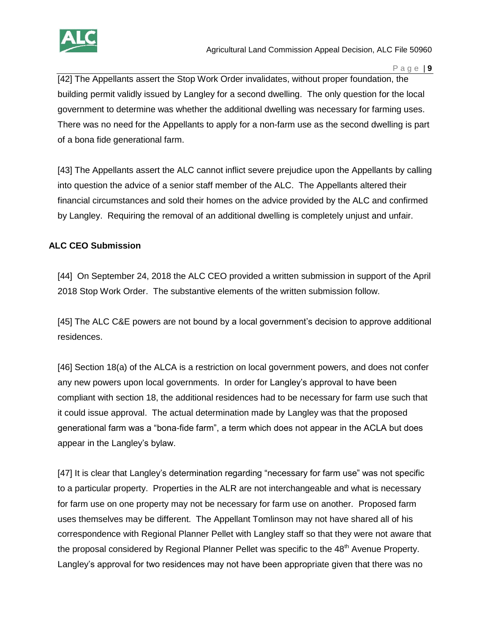

[42] The Appellants assert the Stop Work Order invalidates, without proper foundation, the building permit validly issued by Langley for a second dwelling. The only question for the local government to determine was whether the additional dwelling was necessary for farming uses. There was no need for the Appellants to apply for a non-farm use as the second dwelling is part of a bona fide generational farm.

[43] The Appellants assert the ALC cannot inflict severe prejudice upon the Appellants by calling into question the advice of a senior staff member of the ALC. The Appellants altered their financial circumstances and sold their homes on the advice provided by the ALC and confirmed by Langley. Requiring the removal of an additional dwelling is completely unjust and unfair.

# **ALC CEO Submission**

[44] On September 24, 2018 the ALC CEO provided a written submission in support of the April 2018 Stop Work Order. The substantive elements of the written submission follow.

[45] The ALC C&E powers are not bound by a local government's decision to approve additional residences.

[46] Section 18(a) of the ALCA is a restriction on local government powers, and does not confer any new powers upon local governments. In order for Langley's approval to have been compliant with section 18, the additional residences had to be necessary for farm use such that it could issue approval. The actual determination made by Langley was that the proposed generational farm was a "bona-fide farm", a term which does not appear in the ACLA but does appear in the Langley's bylaw.

[47] It is clear that Langley's determination regarding "necessary for farm use" was not specific to a particular property. Properties in the ALR are not interchangeable and what is necessary for farm use on one property may not be necessary for farm use on another. Proposed farm uses themselves may be different. The Appellant Tomlinson may not have shared all of his correspondence with Regional Planner Pellet with Langley staff so that they were not aware that the proposal considered by Regional Planner Pellet was specific to the 48<sup>th</sup> Avenue Property. Langley's approval for two residences may not have been appropriate given that there was no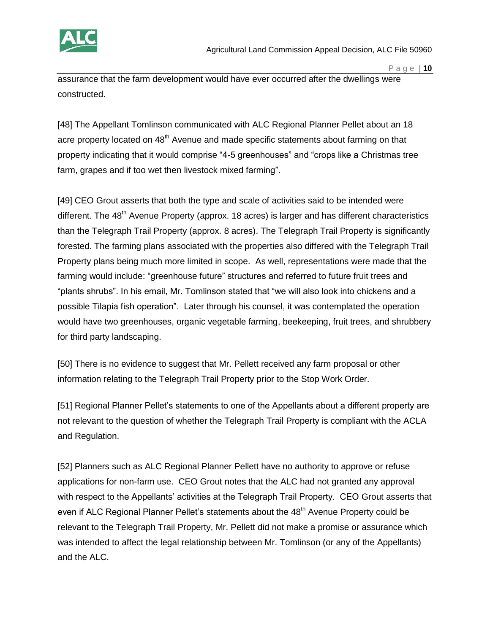

assurance that the farm development would have ever occurred after the dwellings were constructed.

[48] The Appellant Tomlinson communicated with ALC Regional Planner Pellet about an 18 acre property located on 48<sup>th</sup> Avenue and made specific statements about farming on that property indicating that it would comprise "4-5 greenhouses" and "crops like a Christmas tree farm, grapes and if too wet then livestock mixed farming".

[49] CEO Grout asserts that both the type and scale of activities said to be intended were different. The  $48<sup>th</sup>$  Avenue Property (approx. 18 acres) is larger and has different characteristics than the Telegraph Trail Property (approx. 8 acres). The Telegraph Trail Property is significantly forested. The farming plans associated with the properties also differed with the Telegraph Trail Property plans being much more limited in scope. As well, representations were made that the farming would include: "greenhouse future" structures and referred to future fruit trees and "plants shrubs". In his email, Mr. Tomlinson stated that "we will also look into chickens and a possible Tilapia fish operation". Later through his counsel, it was contemplated the operation would have two greenhouses, organic vegetable farming, beekeeping, fruit trees, and shrubbery for third party landscaping.

[50] There is no evidence to suggest that Mr. Pellett received any farm proposal or other information relating to the Telegraph Trail Property prior to the Stop Work Order.

[51] Regional Planner Pellet's statements to one of the Appellants about a different property are not relevant to the question of whether the Telegraph Trail Property is compliant with the ACLA and Regulation.

[52] Planners such as ALC Regional Planner Pellett have no authority to approve or refuse applications for non-farm use. CEO Grout notes that the ALC had not granted any approval with respect to the Appellants' activities at the Telegraph Trail Property. CEO Grout asserts that even if ALC Regional Planner Pellet's statements about the 48<sup>th</sup> Avenue Property could be relevant to the Telegraph Trail Property, Mr. Pellett did not make a promise or assurance which was intended to affect the legal relationship between Mr. Tomlinson (or any of the Appellants) and the ALC.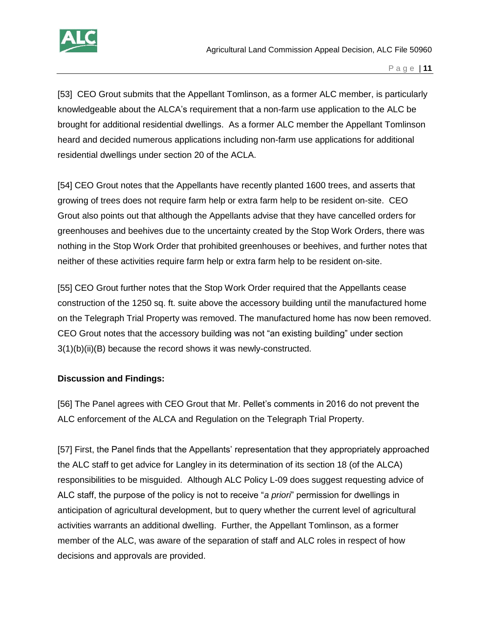

[53] CEO Grout submits that the Appellant Tomlinson, as a former ALC member, is particularly knowledgeable about the ALCA's requirement that a non-farm use application to the ALC be brought for additional residential dwellings. As a former ALC member the Appellant Tomlinson heard and decided numerous applications including non-farm use applications for additional residential dwellings under section 20 of the ACLA.

[54] CEO Grout notes that the Appellants have recently planted 1600 trees, and asserts that growing of trees does not require farm help or extra farm help to be resident on-site. CEO Grout also points out that although the Appellants advise that they have cancelled orders for greenhouses and beehives due to the uncertainty created by the Stop Work Orders, there was nothing in the Stop Work Order that prohibited greenhouses or beehives, and further notes that neither of these activities require farm help or extra farm help to be resident on-site.

[55] CEO Grout further notes that the Stop Work Order required that the Appellants cease construction of the 1250 sq. ft. suite above the accessory building until the manufactured home on the Telegraph Trial Property was removed. The manufactured home has now been removed. CEO Grout notes that the accessory building was not "an existing building" under section 3(1)(b)(ii)(B) because the record shows it was newly-constructed.

### **Discussion and Findings:**

[56] The Panel agrees with CEO Grout that Mr. Pellet's comments in 2016 do not prevent the ALC enforcement of the ALCA and Regulation on the Telegraph Trial Property.

[57] First, the Panel finds that the Appellants' representation that they appropriately approached the ALC staff to get advice for Langley in its determination of its section 18 (of the ALCA) responsibilities to be misguided. Although ALC Policy L-09 does suggest requesting advice of ALC staff, the purpose of the policy is not to receive "*a priori*" permission for dwellings in anticipation of agricultural development, but to query whether the current level of agricultural activities warrants an additional dwelling. Further, the Appellant Tomlinson, as a former member of the ALC, was aware of the separation of staff and ALC roles in respect of how decisions and approvals are provided.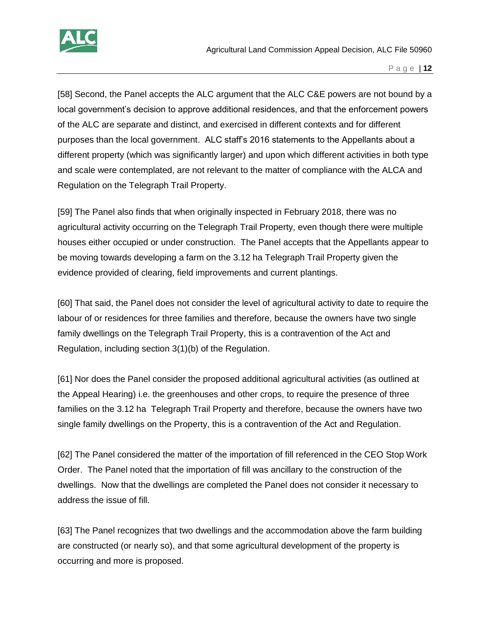

[58] Second, the Panel accepts the ALC argument that the ALC C&E powers are not bound by a local government's decision to approve additional residences, and that the enforcement powers of the ALC are separate and distinct, and exercised in different contexts and for different purposes than the local government. ALC staff's 2016 statements to the Appellants about a different property (which was significantly larger) and upon which different activities in both type and scale were contemplated, are not relevant to the matter of compliance with the ALCA and Regulation on the Telegraph Trail Property.

[59] The Panel also finds that when originally inspected in February 2018, there was no agricultural activity occurring on the Telegraph Trail Property, even though there were multiple houses either occupied or under construction. The Panel accepts that the Appellants appear to be moving towards developing a farm on the 3.12 ha Telegraph Trail Property given the evidence provided of clearing, field improvements and current plantings.

[60] That said, the Panel does not consider the level of agricultural activity to date to require the labour of or residences for three families and therefore, because the owners have two single family dwellings on the Telegraph Trail Property, this is a contravention of the Act and Regulation, including section 3(1)(b) of the Regulation.

[61] Nor does the Panel consider the proposed additional agricultural activities (as outlined at the Appeal Hearing) i.e. the greenhouses and other crops, to require the presence of three families on the 3.12 ha Telegraph Trail Property and therefore, because the owners have two single family dwellings on the Property, this is a contravention of the Act and Regulation.

[62] The Panel considered the matter of the importation of fill referenced in the CEO Stop Work Order. The Panel noted that the importation of fill was ancillary to the construction of the dwellings. Now that the dwellings are completed the Panel does not consider it necessary to address the issue of fill.

[63] The Panel recognizes that two dwellings and the accommodation above the farm building are constructed (or nearly so), and that some agricultural development of the property is occurring and more is proposed.